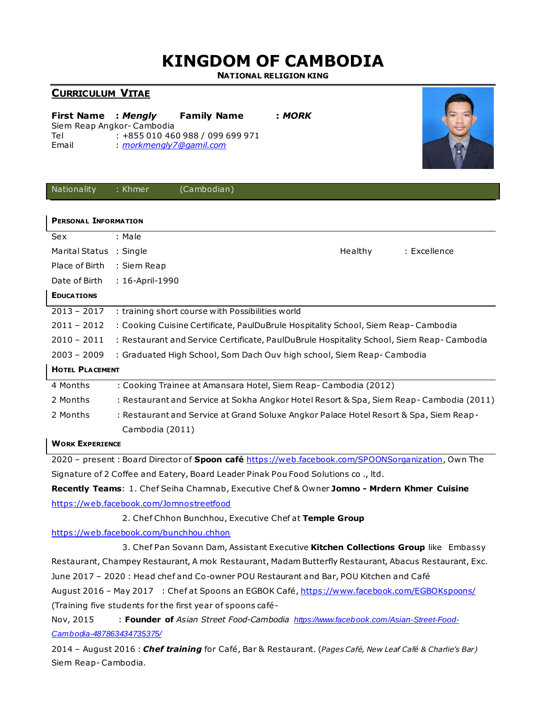## **KINGDOM OF CAMBODIA**

**NATIONAL RELIGION KING**

## **CURRICULUM VITAE**

| First Name : Mengly       |                         | <b>Family Name</b>               | : MORK |
|---------------------------|-------------------------|----------------------------------|--------|
| Siem Reap Angkor-Cambodia |                         |                                  |        |
| Tel                       |                         | : +855 010 460 988 / 099 699 971 |        |
| Email                     | : morkmengly7@gamil.com |                                  |        |
|                           |                         |                                  |        |



| Nationality                                                                                  | : Khmer                                                                                  | (Cambodian)                                                                                           |         |              |
|----------------------------------------------------------------------------------------------|------------------------------------------------------------------------------------------|-------------------------------------------------------------------------------------------------------|---------|--------------|
|                                                                                              |                                                                                          |                                                                                                       |         |              |
| <b>PERSONAL INFORMATION</b>                                                                  |                                                                                          |                                                                                                       |         |              |
| Sex                                                                                          | : Male                                                                                   |                                                                                                       |         |              |
| Marital Status : Single                                                                      |                                                                                          |                                                                                                       | Healthy | : Excellence |
| Place of Birth                                                                               | : Siem Reap                                                                              |                                                                                                       |         |              |
| Date of Birth                                                                                | : 16-April-1990                                                                          |                                                                                                       |         |              |
| <b>EDUCATIONS</b>                                                                            |                                                                                          |                                                                                                       |         |              |
| $2013 - 2017$                                                                                |                                                                                          | : training short course with Possibilities world                                                      |         |              |
| $2011 - 2012$                                                                                | : Cooking Cuisine Certificate, PaulDuBrule Hospitality School, Siem Reap-Cambodia        |                                                                                                       |         |              |
| $2010 - 2011$                                                                                | : Restaurant and Service Certificate, PaulDuBrule Hospitality School, Siem Reap-Cambodia |                                                                                                       |         |              |
| $2003 - 2009$                                                                                | : Graduated High School, Som Dach Ouv high school, Siem Reap-Cambodia                    |                                                                                                       |         |              |
| <b>HOTEL PLACEMENT</b>                                                                       |                                                                                          |                                                                                                       |         |              |
| 4 Months                                                                                     |                                                                                          | : Cooking Trainee at Amansara Hotel, Siem Reap-Cambodia (2012)                                        |         |              |
| 2 Months                                                                                     | : Restaurant and Service at Sokha Angkor Hotel Resort & Spa, Siem Reap-Cambodia (2011)   |                                                                                                       |         |              |
| 2 Months                                                                                     |                                                                                          | : Restaurant and Service at Grand Soluxe Angkor Palace Hotel Resort & Spa, Siem Reap-                 |         |              |
|                                                                                              | Cambodia (2011)                                                                          |                                                                                                       |         |              |
| <b>WORK EXPERIENCE</b>                                                                       |                                                                                          |                                                                                                       |         |              |
|                                                                                              |                                                                                          | 2020 - present : Board Director of Spoon café https://web.facebook.com/SPOONSorganization, Own The    |         |              |
|                                                                                              |                                                                                          | Signature of 2 Coffee and Eatery, Board Leader Pinak Pou Food Solutions co., ltd.                     |         |              |
| Recently Teams: 1. Chef Seiha Chamnab, Executive Chef & Owner Jomno - Mrdern Khmer Cuisine   |                                                                                          |                                                                                                       |         |              |
|                                                                                              |                                                                                          | https://web.facebook.com/Jomnostreetfood                                                              |         |              |
|                                                                                              |                                                                                          | 2. Chef Chhon Bunchhou, Executive Chef at Temple Group                                                |         |              |
| https://web.facebook.com/bunchhou.chhon                                                      |                                                                                          |                                                                                                       |         |              |
|                                                                                              |                                                                                          | 3. Chef Pan Sovann Dam, Assistant Executive Kitchen Collections Group like Embassy                    |         |              |
|                                                                                              |                                                                                          | Restaurant, Champey Restaurant, A mok Restaurant, Madam Butterfly Restaurant, Abacus Restaurant, Exc. |         |              |
| June 2017 - 2020: Head chef and Co-owner POU Restaurant and Bar, POU Kitchen and Café        |                                                                                          |                                                                                                       |         |              |
| August 2016 - May 2017 : Chef at Spoons an EGBOK Café, https://www.facebook.com/EGBOKspoons/ |                                                                                          |                                                                                                       |         |              |
| (Training five students for the first year of spoons café-                                   |                                                                                          |                                                                                                       |         |              |

Nov, 2015 : **Founder of** *Asian Street Food-Cambodia [https://www.facebook.com/Asian-Street-Food-](https://www.facebook.com/Asian-Street-Food-Cambodia-487863434735375/)[Cambodia-487863434735375/](https://www.facebook.com/Asian-Street-Food-Cambodia-487863434735375/)*

2014 – August 2016 : *Chef training* for Café, Bar & Restaurant. (*Pages Café, New Leaf Café & Charlie's Bar)* Siem Reap- Cambodia.